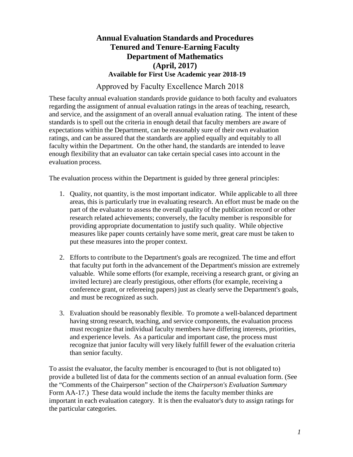# **Annual Evaluation Standards and Procedures Tenured and Tenure-Earning Faculty Department of Mathematics (April, 2017) Available for First Use Academic year 2018-19**

# Approved by Faculty Excellence March 2018

These faculty annual evaluation standards provide guidance to both faculty and evaluators regarding the assignment of annual evaluation ratings in the areas of teaching, research, and service, and the assignment of an overall annual evaluation rating. The intent of these standards is to spell out the criteria in enough detail that faculty members are aware of expectations within the Department, can be reasonably sure of their own evaluation ratings, and can be assured that the standards are applied equally and equitably to all faculty within the Department. On the other hand, the standards are intended to leave enough flexibility that an evaluator can take certain special cases into account in the evaluation process.

The evaluation process within the Department is guided by three general principles:

- 1. Quality, not quantity, is the most important indicator. While applicable to all three areas, this is particularly true in evaluating research. An effort must be made on the part of the evaluator to assess the overall quality of the publication record or other research related achievements; conversely, the faculty member is responsible for providing appropriate documentation to justify such quality. While objective measures like paper counts certainly have some merit, great care must be taken to put these measures into the proper context.
- 2. Efforts to contribute to the Department's goals are recognized. The time and effort that faculty put forth in the advancement of the Department's mission are extremely valuable. While some efforts (for example, receiving a research grant, or giving an invited lecture) are clearly prestigious, other efforts (for example, receiving a conference grant, or refereeing papers) just as clearly serve the Department's goals, and must be recognized as such.
- 3. Evaluation should be reasonably flexible. To promote a well-balanced department having strong research, teaching, and service components, the evaluation process must recognize that individual faculty members have differing interests, priorities, and experience levels. As a particular and important case, the process must recognize that junior faculty will very likely fulfill fewer of the evaluation criteria than senior faculty.

To assist the evaluator, the faculty member is encouraged to (but is not obligated to) provide a bulleted list of data for the comments section of an annual evaluation form. (See the "Comments of the Chairperson" section of the *Chairperson's Evaluation Summary*  Form AA-17.) These data would include the items the faculty member thinks are important in each evaluation category. It is then the evaluator's duty to assign ratings for the particular categories.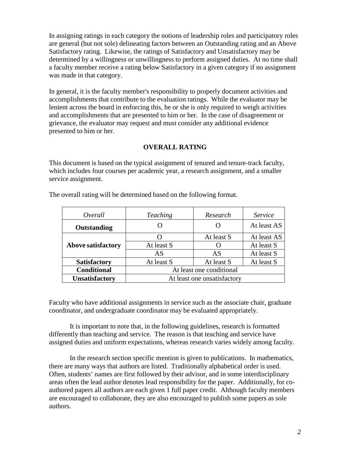In assigning ratings in each category the notions of leadership roles and participatory roles are general (but not sole) delineating factors between an Outstanding rating and an Above Satisfactory rating. Likewise, the ratings of Satisfactory and Unsatisfactory may be determined by a willingness or unwillingness to perform assigned duties. At no time shall a faculty member receive a rating below Satisfactory in a given category if no assignment was made in that category.

In general, it is the faculty member's responsibility to properly document activities and accomplishments that contribute to the evaluation ratings. While the evaluator may be lenient across the board in enforcing this, he or she is only required to weigh activities and accomplishments that are presented to him or her. In the case of disagreement or grievance, the evaluator may request and must consider any additional evidence presented to him or her.

#### **OVERALL RATING**

This document is based on the typical assignment of tenured and tenure-track faculty, which includes four courses per academic year, a research assignment, and a smaller service assignment.

| Overall                   | <b>Teaching</b>             | Research   | Service     |
|---------------------------|-----------------------------|------------|-------------|
| Outstanding               |                             |            | At least AS |
|                           |                             | At least S | At least AS |
| <b>Above satisfactory</b> | At least S                  |            | At least S  |
|                           | AS                          | AS         | At least S  |
| <b>Satisfactory</b>       | At least S                  | At least S | At least S  |
| <b>Conditional</b>        | At least one conditional    |            |             |
| <b>Unsatisfactory</b>     | At least one unsatisfactory |            |             |

The overall rating will be determined based on the following format.

Faculty who have additional assignments in service such as the associate chair, graduate coordinator, and undergraduate coordinator may be evaluated appropriately.

It is important to note that, in the following guidelines, research is formatted differently than teaching and service. The reason is that teaching and service have assigned duties and uniform expectations, whereas research varies widely among faculty.

In the research section specific mention is given to publications. In mathematics, there are many ways that authors are listed. Traditionally alphabetical order is used. Often, students' names are first followed by their advisor, and in some interdisciplinary areas often the lead author denotes lead responsibility for the paper. Additionally, for coauthored papers all authors are each given 1 full paper credit. Although faculty members are encouraged to collaborate, they are also encouraged to publish some papers as sole authors.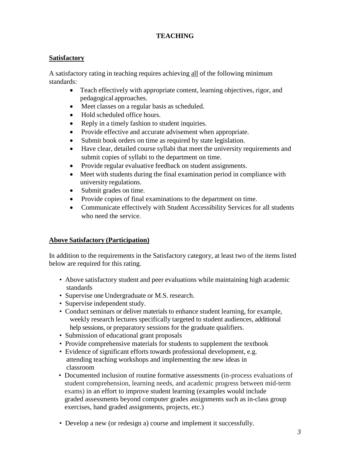# **TEACHING**

### **Satisfactory**

A satisfactory rating in teaching requires achieving all of the following minimum standards:

- Teach effectively with appropriate content, learning objectives, rigor, and pedagogical approaches.
- Meet classes on a regular basis as scheduled.
- Hold scheduled office hours.
- Reply in a timely fashion to student inquiries.
- Provide effective and accurate advisement when appropriate.
- Submit book orders on time as required by state legislation.
- Have clear, detailed course syllabi that meet the university requirements and submit copies of syllabi to the department on time.
- Provide regular evaluative feedback on student assignments.
- Meet with students during the final examination period in compliance with university regulations.
- Submit grades on time.
- Provide copies of final examinations to the department on time.
- Communicate effectively with Student Accessibility Services for all students who need the service.

### **Above Satisfactory (Participation)**

In addition to the requirements in the Satisfactory category, at least two of the items listed below are required for this rating.

- Above satisfactory student and peer evaluations while maintaining high academic standards
- Supervise one Undergraduate or M.S. research.
- Supervise independent study.
- Conduct seminars or deliver materials to enhance student learning, for example, weekly research lectures specifically targeted to student audiences, additional help sessions, or preparatory sessions for the graduate qualifiers.
- Submission of educational grant proposals
- Provide comprehensive materials for students to supplement the textbook
- Evidence of significant efforts towards professional development, e.g. attending teaching workshops and implementing the new ideas in classroom
- Documented inclusion of routine formative assessments (in-process evaluations of student comprehension, learning needs, and academic progress between mid-term exams) in an effort to improve student learning (examples would include graded assessments beyond computer grades assignments such as in-class group exercises, hand graded assignments, projects, etc.)
- Develop a new (or redesign a) course and implement it successfully.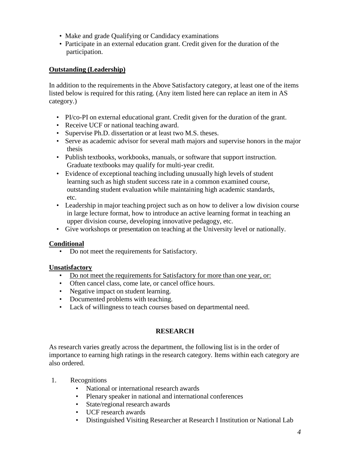- Make and grade Qualifying or Candidacy examinations
- Participate in an external education grant. Credit given for the duration of the participation.

### **Outstanding (Leadership)**

In addition to the requirements in the Above Satisfactory category, at least one of the items listed below is required for this rating. (Any item listed here can replace an item in AS category.)

- PI/co-PI on external educational grant. Credit given for the duration of the grant.
- Receive UCF or national teaching award.
- Supervise Ph.D. dissertation or at least two M.S. theses.
- Serve as academic advisor for several math majors and supervise honors in the major thesis
- Publish textbooks, workbooks, manuals, or software that support instruction. Graduate textbooks may qualify for multi-year credit.
- Evidence of exceptional teaching including unusually high levels of student learning such as high student success rate in a common examined course, outstanding student evaluation while maintaining high academic standards, etc.
- Leadership in major teaching project such as on how to deliver a low division course in large lecture format, how to introduce an active learning format in teaching an upper division course, developing innovative pedagogy, etc.
- Give workshops or presentation on teaching at the University level or nationally.

### **Conditional**

• Do not meet the requirements for Satisfactory.

### **Unsatisfactory**

- Do not meet the requirements for Satisfactory for more than one year, or:
- Often cancel class, come late, or cancel office hours.
- Negative impact on student learning.
- Documented problems with teaching.
- Lack of willingness to teach courses based on departmental need.

### **RESEARCH**

As research varies greatly across the department, the following list is in the order of importance to earning high ratings in the research category. Items within each category are also ordered.

- 1. Recognitions
	- National or international research awards
	- Plenary speaker in national and international conferences
	- State/regional research awards
	- UCF research awards
	- Distinguished Visiting Researcher at Research I Institution or National Lab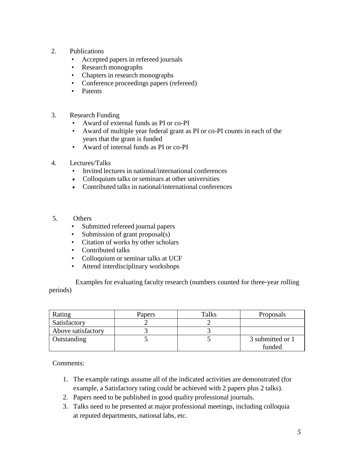- 2. Publications
	- Accepted papers in refereed journals
	- Research monographs
	- Chapters in research monographs
	- Conference proceedings papers (refereed)
	- Patents
- 3. Research Funding
	- Award of external funds as PI or co-PI
	- Award of multiple year federal grant as PI or co-PI counts in each of the years that the grant is funded
	- Award of internal funds as PI or co-PI
- 4. Lectures/Talks
	- Invited lectures in national/international conferences
	- Colloquium talks or seminars at other universities
	- Contributed talks in national/international conferences
- 5. Others
	- Submitted refereed journal papers
	- Submission of grant proposal(s)
	- Citation of works by other scholars
	- Contributed talks
	- Colloquium or seminar talks at UCF
	- Attend interdisciplinary workshops

 Examples for evaluating faculty research (numbers counted for three-year rolling periods)

| Rating             | Papers | Talks | Proposals        |
|--------------------|--------|-------|------------------|
| Satisfactory       |        |       |                  |
| Above satisfactory |        |       |                  |
| Outstanding        |        |       | 3 submitted or 1 |
|                    |        |       | funded           |

Comments:

- 1. The example ratings assume all of the indicated activities are demonstrated (for example, a Satisfactory rating could be achieved with 2 papers plus 2 talks).
- 2. Papers need to be published in good quality professional journals.
- 3. Talks need to be presented at major professional meetings, including colloquia at reputed departments, national labs, etc.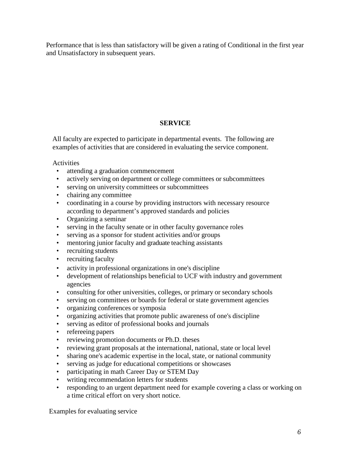Performance that is less than satisfactory will be given a rating of Conditional in the first year and Unsatisfactory in subsequent years.

# **SERVICE**

All faculty are expected to participate in departmental events. The following are examples of activities that are considered in evaluating the service component.

### **Activities**

- attending a graduation commencement
- actively serving on department or college committees or subcommittees
- serving on university committees or subcommittees
- chairing any committee
- coordinating in a course by providing instructors with necessary resource according to department's approved standards and policies
- Organizing a seminar
- serving in the faculty senate or in other faculty governance roles
- serving as a sponsor for student activities and/or groups
- mentoring junior faculty and graduate teaching assistants
- recruiting students
- recruiting faculty
- activity in professional organizations in one's discipline
- development of relationships beneficial to UCF with industry and government agencies
- consulting for other universities, colleges, or primary or secondary schools
- serving on committees or boards for federal or state government agencies
- organizing conferences or symposia
- organizing activities that promote public awareness of one's discipline
- serving as editor of professional books and journals
- refereeing papers
- reviewing promotion documents or Ph.D. theses
- reviewing grant proposals at the international, national, state or local level
- sharing one's academic expertise in the local, state, or national community
- serving as judge for educational competitions or showcases
- participating in math Career Day or STEM Day
- writing recommendation letters for students
- responding to an urgent department need for example covering a class or working on a time critical effort on very short notice.

Examples for evaluating service